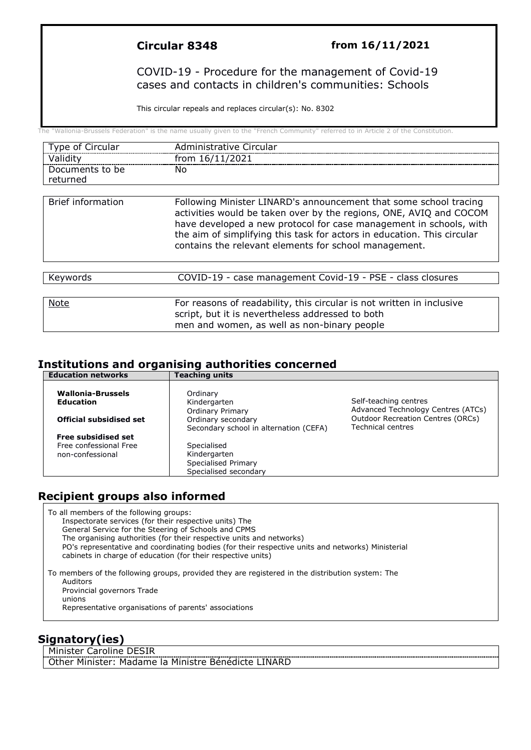#### **Circular 8348 from 16/11/2021**

#### COVID-19 - Procedure for the management of Covid-19 cases and contacts in children's communities: Schools

This circular repeals and replaces circular(s): No. 8302

The "Wallonia-Brussels Federation" is the name usually given to the "French Community" referred to in Article 2 of the Constitution.

| Type of Circular            | Administrative Circular                                                                                                                                                                                                                                                                                                                           |
|-----------------------------|---------------------------------------------------------------------------------------------------------------------------------------------------------------------------------------------------------------------------------------------------------------------------------------------------------------------------------------------------|
| Validity                    | from 16/11/2021                                                                                                                                                                                                                                                                                                                                   |
| Documents to be<br>returned | No.                                                                                                                                                                                                                                                                                                                                               |
| <b>Brief information</b>    | Following Minister LINARD's announcement that some school tracing<br>activities would be taken over by the regions, ONE, AVIQ and COCOM<br>have developed a new protocol for case management in schools, with<br>the aim of simplifying this task for actors in education. This circular<br>contains the relevant elements for school management. |
|                             | COVID-19 - case management Covid-19 - PSE - class closures                                                                                                                                                                                                                                                                                        |
| Keywords                    |                                                                                                                                                                                                                                                                                                                                                   |
| <b>Note</b>                 | For reasons of readability, this circular is not written in inclusive<br>script, but it is nevertheless addressed to both<br>men and women, as well as non-binary people                                                                                                                                                                          |

#### **Institutions and organising authorities concerned Education networks**

| Luulativii lietwyi RS                        | י כסטווויש טווונט                                            |                                                                      |
|----------------------------------------------|--------------------------------------------------------------|----------------------------------------------------------------------|
| <b>Wallonia-Brussels</b><br><b>Education</b> | Ordinary<br>Kindergarten<br><b>Ordinary Primary</b>          | Self-teaching centres<br>Advanced Technology Centres (ATCs)          |
| <b>Official subsidised set</b>               | Ordinary secondary<br>Secondary school in alternation (CEFA) | <b>Outdoor Recreation Centres (ORCs)</b><br><b>Technical centres</b> |
| <b>Free subsidised set</b>                   |                                                              |                                                                      |
| Free confessional Free                       | Specialised                                                  |                                                                      |
| non-confessional                             | Kindergarten                                                 |                                                                      |
|                                              | Specialised Primary                                          |                                                                      |
|                                              | Specialised secondary                                        |                                                                      |

# **Recipient groups also informed**

To all members of the following groups: Inspectorate services (for their respective units) The General Service for the Steering of Schools and CPMS The organising authorities (for their respective units and networks) PO's representative and coordinating bodies (for their respective units and networks) Ministerial cabinets in charge of education (for their respective units)

To members of the following groups, provided they are registered in the distribution system: The Auditors Provincial governors Trade unions Representative organisations of parents' associations

# **Signatory(ies)**

Minister Caroline DESIR

Other Minister: Madame la Ministre Bénédicte LINARD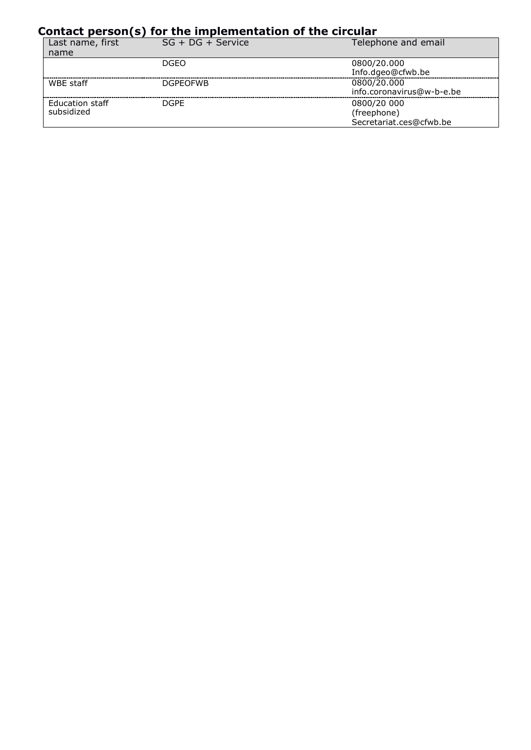# **Contact person(s) for the implementation of the circular**

| Last name, first<br>name             | $SG + DG + Service$ | Telephone and email                                   |
|--------------------------------------|---------------------|-------------------------------------------------------|
|                                      | DGFO                | 0800/20.000<br>Info.dgeo@cfwb.be                      |
| WBE staff                            | <b>DGPFOFWB</b>     | 0800/20.000<br>info.coronavirus@w-b-e.be              |
| <b>Education staff</b><br>subsidized | <b>DGPF</b>         | 0800/20 000<br>(freephone)<br>Secretariat.ces@cfwb.be |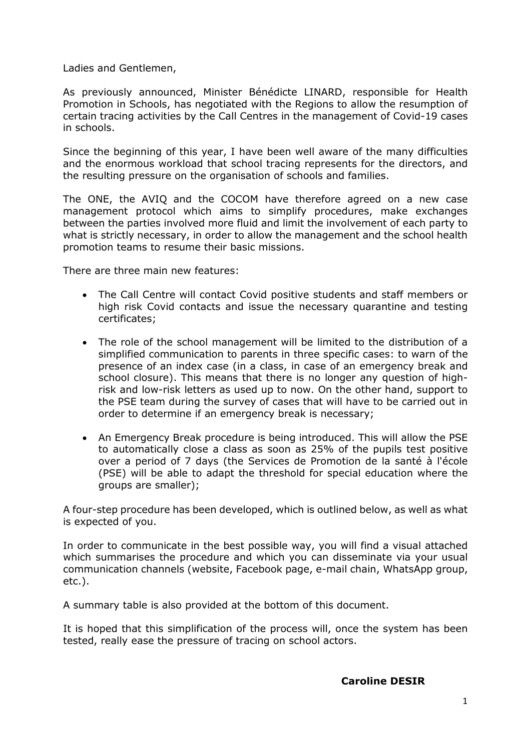Ladies and Gentlemen,

As previously announced, Minister Bénédicte LINARD, responsible for Health Promotion in Schools, has negotiated with the Regions to allow the resumption of certain tracing activities by the Call Centres in the management of Covid-19 cases in schools.

Since the beginning of this year, I have been well aware of the many difficulties and the enormous workload that school tracing represents for the directors, and the resulting pressure on the organisation of schools and families.

The ONE, the AVIQ and the COCOM have therefore agreed on a new case management protocol which aims to simplify procedures, make exchanges between the parties involved more fluid and limit the involvement of each party to what is strictly necessary, in order to allow the management and the school health promotion teams to resume their basic missions.

There are three main new features:

- The Call Centre will contact Covid positive students and staff members or high risk Covid contacts and issue the necessary quarantine and testing certificates;
- The role of the school management will be limited to the distribution of a simplified communication to parents in three specific cases: to warn of the presence of an index case (in a class, in case of an emergency break and school closure). This means that there is no longer any question of highrisk and low-risk letters as used up to now. On the other hand, support to the PSE team during the survey of cases that will have to be carried out in order to determine if an emergency break is necessary;
- An Emergency Break procedure is being introduced. This will allow the PSE to automatically close a class as soon as 25% of the pupils test positive over a period of 7 days (the Services de Promotion de la santé à l'école (PSE) will be able to adapt the threshold for special education where the groups are smaller);

A four-step procedure has been developed, which is outlined below, as well as what is expected of you.

In order to communicate in the best possible way, you will find a visual attached which summarises the procedure and which you can disseminate via your usual communication channels (website, Facebook page, e-mail chain, WhatsApp group, etc.).

A summary table is also provided at the bottom of this document.

It is hoped that this simplification of the process will, once the system has been tested, really ease the pressure of tracing on school actors.

#### **Caroline DESIR**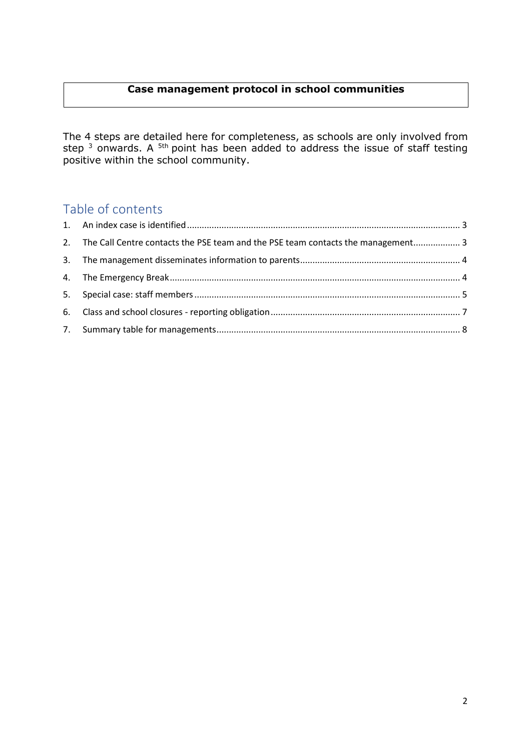# **Case management protocol in school communities**

The 4 steps are detailed here for completeness, as schools are only involved from step  $^3$  onwards. A  $^{5th}$  point has been added to address the issue of staff testing positive within the school community.

# Table of contents

| 2. The Call Centre contacts the PSE team and the PSE team contacts the management 3 |  |
|-------------------------------------------------------------------------------------|--|
|                                                                                     |  |
|                                                                                     |  |
|                                                                                     |  |
|                                                                                     |  |
|                                                                                     |  |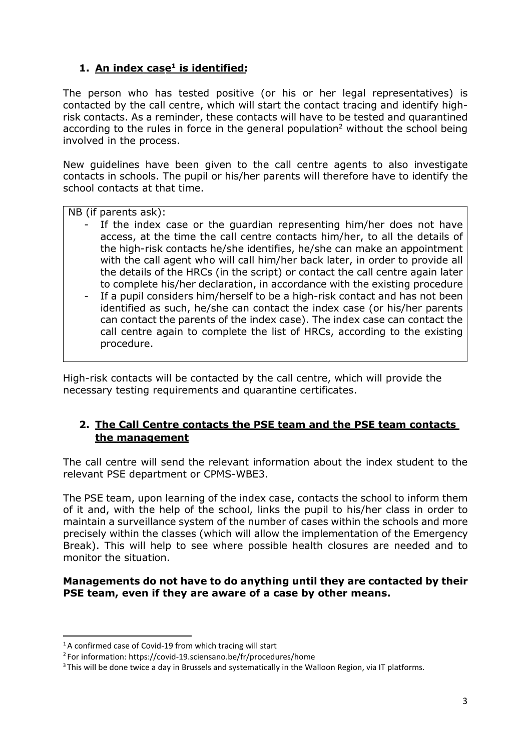# **1. An index case1 is identified:**

The person who has tested positive (or his or her legal representatives) is contacted by the call centre, which will start the contact tracing and identify highrisk contacts. As a reminder, these contacts will have to be tested and quarantined according to the rules in force in the general population<sup>2</sup> without the school being involved in the process.

New guidelines have been given to the call centre agents to also investigate contacts in schools. The pupil or his/her parents will therefore have to identify the school contacts at that time.

NB (if parents ask):

- If the index case or the guardian representing him/her does not have access, at the time the call centre contacts him/her, to all the details of the high-risk contacts he/she identifies, he/she can make an appointment with the call agent who will call him/her back later, in order to provide all the details of the HRCs (in the script) or contact the call centre again later to complete his/her declaration, in accordance with the existing procedure
- If a pupil considers him/herself to be a high-risk contact and has not been identified as such, he/she can contact the index case (or his/her parents can contact the parents of the index case). The index case can contact the call centre again to complete the list of HRCs, according to the existing procedure.

High-risk contacts will be contacted by the call centre, which will provide the necessary testing requirements and quarantine certificates.

# **2. The Call Centre contacts the PSE team and the PSE team contacts the management**

The call centre will send the relevant information about the index student to the relevant PSE department or CPMS-WBE3.

The PSE team, upon learning of the index case, contacts the school to inform them of it and, with the help of the school, links the pupil to his/her class in order to maintain a surveillance system of the number of cases within the schools and more precisely within the classes (which will allow the implementation of the Emergency Break). This will help to see where possible health closures are needed and to monitor the situation.

#### **Managements do not have to do anything until they are contacted by their PSE team, even if they are aware of a case by other means.**

<sup>&</sup>lt;sup>1</sup>A confirmed case of Covid-19 from which tracing will start

<sup>2</sup> For information: https://covid-19.sciensano.be/fr/procedures/home

<sup>&</sup>lt;sup>3</sup> This will be done twice a day in Brussels and systematically in the Walloon Region, via IT platforms.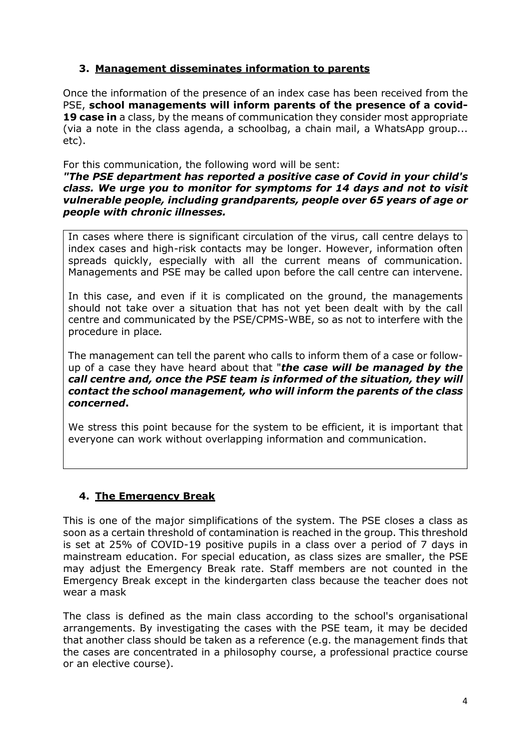# **3. Management disseminates information to parents**

Once the information of the presence of an index case has been received from the PSE, **school managements will inform parents of the presence of a covid-19 case in** a class, by the means of communication they consider most appropriate (via a note in the class agenda, a schoolbag, a chain mail, a WhatsApp group... etc).

For this communication, the following word will be sent:

*"The PSE department has reported a positive case of Covid in your child's class. We urge you to monitor for symptoms for 14 days and not to visit vulnerable people, including grandparents, people over 65 years of age or people with chronic illnesses.*

In cases where there is significant circulation of the virus, call centre delays to index cases and high-risk contacts may be longer. However, information often spreads quickly, especially with all the current means of communication. Managements and PSE may be called upon before the call centre can intervene.

In this case, and even if it is complicated on the ground, the managements should not take over a situation that has not yet been dealt with by the call centre and communicated by the PSE/CPMS-WBE, so as not to interfere with the procedure in place*.*

The management can tell the parent who calls to inform them of a case or followup of a case they have heard about that "*the case will be managed by the call centre and, once the PSE team is informed of the situation, they will contact the school management, who will inform the parents of the class concerned***.**

We stress this point because for the system to be efficient, it is important that everyone can work without overlapping information and communication.

# **4. The Emergency Break**

This is one of the major simplifications of the system. The PSE closes a class as soon as a certain threshold of contamination is reached in the group. This threshold is set at 25% of COVID-19 positive pupils in a class over a period of 7 days in mainstream education. For special education, as class sizes are smaller, the PSE may adjust the Emergency Break rate. Staff members are not counted in the Emergency Break except in the kindergarten class because the teacher does not wear a mask

The class is defined as the main class according to the school's organisational arrangements. By investigating the cases with the PSE team, it may be decided that another class should be taken as a reference (e.g. the management finds that the cases are concentrated in a philosophy course, a professional practice course or an elective course).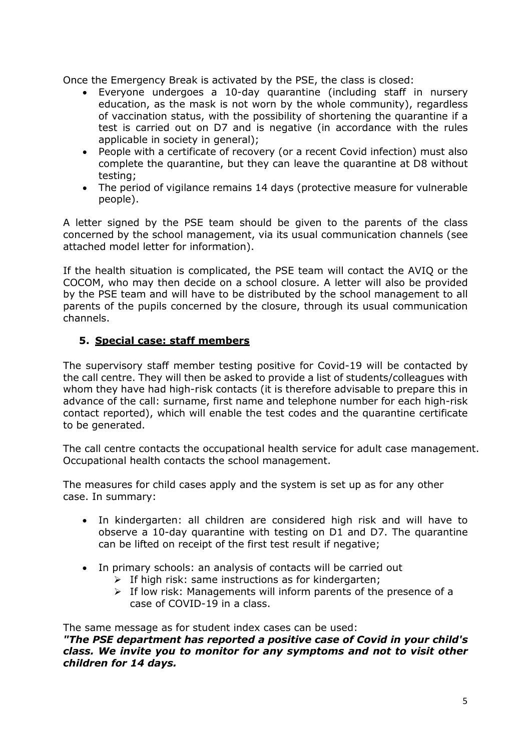Once the Emergency Break is activated by the PSE, the class is closed:

- Everyone undergoes a 10-day quarantine (including staff in nursery education, as the mask is not worn by the whole community), regardless of vaccination status, with the possibility of shortening the quarantine if a test is carried out on D7 and is negative (in accordance with the rules applicable in society in general);
- People with a certificate of recovery (or a recent Covid infection) must also complete the quarantine, but they can leave the quarantine at D8 without testing;
- The period of vigilance remains 14 days (protective measure for vulnerable people).

A letter signed by the PSE team should be given to the parents of the class concerned by the school management, via its usual communication channels (see attached model letter for information).

If the health situation is complicated, the PSE team will contact the AVIQ or the COCOM, who may then decide on a school closure. A letter will also be provided by the PSE team and will have to be distributed by the school management to all parents of the pupils concerned by the closure, through its usual communication channels.

# **5. Special case: staff members**

The supervisory staff member testing positive for Covid-19 will be contacted by the call centre. They will then be asked to provide a list of students/colleagues with whom they have had high-risk contacts (it is therefore advisable to prepare this in advance of the call: surname, first name and telephone number for each high-risk contact reported), which will enable the test codes and the quarantine certificate to be generated.

The call centre contacts the occupational health service for adult case management. Occupational health contacts the school management.

The measures for child cases apply and the system is set up as for any other case. In summary:

- In kindergarten: all children are considered high risk and will have to observe a 10-day quarantine with testing on D1 and D7. The quarantine can be lifted on receipt of the first test result if negative;
- In primary schools: an analysis of contacts will be carried out
	- $\triangleright$  If high risk: same instructions as for kindergarten;
	- $\triangleright$  If low risk: Managements will inform parents of the presence of a case of COVID-19 in a class.

The same message as for student index cases can be used:

*"The PSE department has reported a positive case of Covid in your child's class. We invite you to monitor for any symptoms and not to visit other children for 14 days.*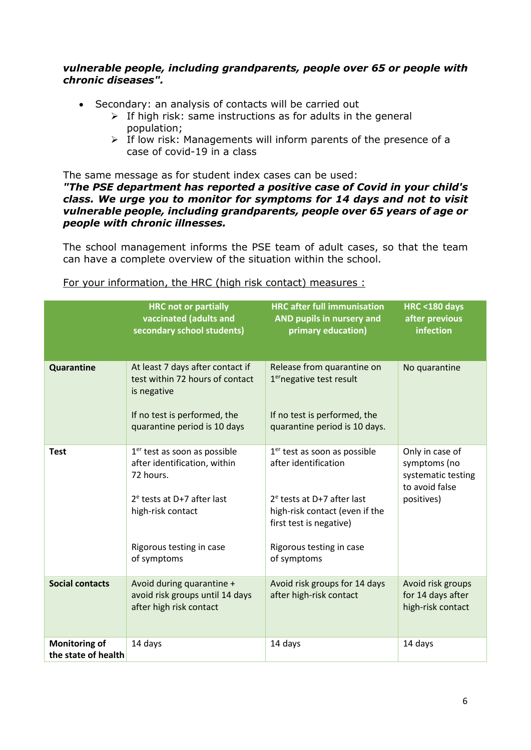#### *vulnerable people, including grandparents, people over 65 or people with chronic diseases".*

- Secondary: an analysis of contacts will be carried out
	- $\triangleright$  If high risk: same instructions as for adults in the general population;
	- $\triangleright$  If low risk: Managements will inform parents of the presence of a case of covid-19 in a class

The same message as for student index cases can be used:

#### *"The PSE department has reported a positive case of Covid in your child's class. We urge you to monitor for symptoms for 14 days and not to visit vulnerable people, including grandparents, people over 65 years of age or people with chronic illnesses.*

The school management informs the PSE team of adult cases, so that the team can have a complete overview of the situation within the school.

|                                             | <b>HRC not or partially</b><br>vaccinated (adults and<br>secondary school students)                                                                                                   | <b>HRC</b> after full immunisation<br>AND pupils in nursery and<br>primary education)                                                                                                          | <b>HRC &lt;180 days</b><br>after previous<br>infection                                |
|---------------------------------------------|---------------------------------------------------------------------------------------------------------------------------------------------------------------------------------------|------------------------------------------------------------------------------------------------------------------------------------------------------------------------------------------------|---------------------------------------------------------------------------------------|
| Quarantine                                  | At least 7 days after contact if<br>test within 72 hours of contact<br>is negative<br>If no test is performed, the<br>quarantine period is 10 days                                    | Release from quarantine on<br>1 <sup>er</sup> negative test result<br>If no test is performed, the<br>quarantine period is 10 days.                                                            | No quarantine                                                                         |
| <b>Test</b>                                 | 1 <sup>er</sup> test as soon as possible<br>after identification, within<br>72 hours.<br>$2e$ tests at D+7 after last<br>high-risk contact<br>Rigorous testing in case<br>of symptoms | $1er$ test as soon as possible<br>after identification<br>$2e$ tests at D+7 after last<br>high-risk contact (even if the<br>first test is negative)<br>Rigorous testing in case<br>of symptoms | Only in case of<br>symptoms (no<br>systematic testing<br>to avoid false<br>positives) |
| <b>Social contacts</b>                      | Avoid during quarantine +<br>avoid risk groups until 14 days<br>after high risk contact                                                                                               | Avoid risk groups for 14 days<br>after high-risk contact                                                                                                                                       | Avoid risk groups<br>for 14 days after<br>high-risk contact                           |
| <b>Monitoring of</b><br>the state of health | 14 days                                                                                                                                                                               | 14 days                                                                                                                                                                                        | 14 days                                                                               |

#### For your information, the HRC (high risk contact) measures :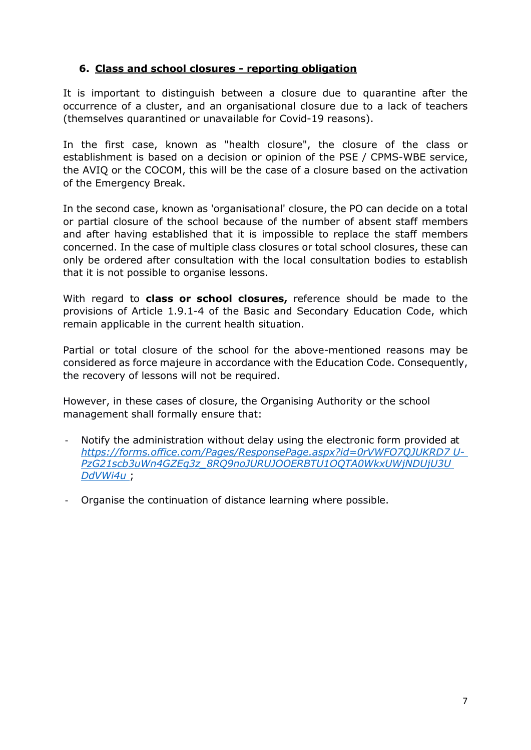# **6. Class and school closures - reporting obligation**

It is important to distinguish between a closure due to quarantine after the occurrence of a cluster, and an organisational closure due to a lack of teachers (themselves quarantined or unavailable for Covid-19 reasons).

In the first case, known as "health closure", the closure of the class or establishment is based on a decision or opinion of the PSE / CPMS-WBE service, the AVIQ or the COCOM, this will be the case of a closure based on the activation of the Emergency Break.

In the second case, known as 'organisational' closure, the PO can decide on a total or partial closure of the school because of the number of absent staff members and after having established that it is impossible to replace the staff members concerned. In the case of multiple class closures or total school closures, these can only be ordered after consultation with the local consultation bodies to establish that it is not possible to organise lessons.

With regard to **class or school closures,** reference should be made to the provisions of Article 1.9.1-4 of the Basic and Secondary Education Code, which remain applicable in the current health situation.

Partial or total closure of the school for the above-mentioned reasons may be considered as force majeure in accordance with the Education Code. Consequently, the recovery of lessons will not be required.

However, in these cases of closure, the Organising Authority or the school management shall formally ensure that:

- Notify the administration without delay using the electronic form provided at *[https://forms.office.com/Pages/ResponsePage.aspx?id=0rVWFO7QJUKRD7 U-](https://forms.office.com/Pages/ResponsePage.aspx?id=0rVWFO7QJUKRD7U-PzG21scb3uWn4GZEq3z_8RQ9noJURUJOOERBTU1OQTA0WkxUWjNDUjU3UDdVWi4u)[PzG21scb3uWn4GZEq3z\\_8RQ9noJURUJOOERBTU1OQTA0WkxUWjNDUjU3U](https://forms.office.com/Pages/ResponsePage.aspx?id=0rVWFO7QJUKRD7U-PzG21scb3uWn4GZEq3z_8RQ9noJURUJOOERBTU1OQTA0WkxUWjNDUjU3UDdVWi4u)  [DdVWi4u](https://forms.office.com/Pages/ResponsePage.aspx?id=0rVWFO7QJUKRD7U-PzG21scb3uWn4GZEq3z_8RQ9noJURUJOOERBTU1OQTA0WkxUWjNDUjU3UDdVWi4u)* ;
- Organise the continuation of distance learning where possible.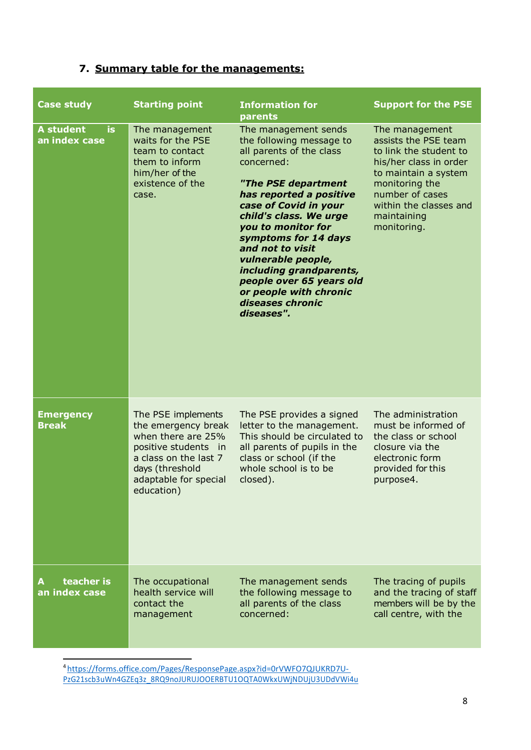# **7. Summary table for the managements:**

| <b>Case study</b>                        | <b>Starting point</b>                                                                                                                                                          | <b>Information for</b><br>parents                                                                                                                                                                                                                                                                                                                                                                          | <b>Support for the PSE</b>                                                                                                                                                                                      |
|------------------------------------------|--------------------------------------------------------------------------------------------------------------------------------------------------------------------------------|------------------------------------------------------------------------------------------------------------------------------------------------------------------------------------------------------------------------------------------------------------------------------------------------------------------------------------------------------------------------------------------------------------|-----------------------------------------------------------------------------------------------------------------------------------------------------------------------------------------------------------------|
| <b>A</b> student<br>is.<br>an index case | The management<br>waits for the PSE<br>team to contact<br>them to inform<br>him/her of the<br>existence of the<br>case.                                                        | The management sends<br>the following message to<br>all parents of the class<br>concerned:<br>"The PSE department<br>has reported a positive<br>case of Covid in your<br>child's class. We urge<br>you to monitor for<br>symptoms for 14 days<br>and not to visit<br>vulnerable people,<br>including grandparents,<br>people over 65 years old<br>or people with chronic<br>diseases chronic<br>diseases". | The management<br>assists the PSE team<br>to link the student to<br>his/her class in order<br>to maintain a system<br>monitoring the<br>number of cases<br>within the classes and<br>maintaining<br>monitoring. |
| <b>Emergency</b><br><b>Break</b>         | The PSE implements<br>the emergency break<br>when there are 25%<br>positive students<br>in.<br>a class on the last 7<br>days (threshold<br>adaptable for special<br>education) | The PSE provides a signed<br>letter to the management.<br>This should be circulated to<br>all parents of pupils in the<br>class or school (if the<br>whole school is to be<br>closed).                                                                                                                                                                                                                     | The administration<br>must be informed of<br>the class or school<br>closure via the<br>electronic form<br>provided for this<br>purpose4.                                                                        |
| teacher is<br>an index case              | The occupational<br>health service will<br>contact the<br>management                                                                                                           | The management sends<br>the following message to<br>all parents of the class<br>concerned:                                                                                                                                                                                                                                                                                                                 | The tracing of pupils<br>and the tracing of staff<br>members will be by the<br>call centre, with the                                                                                                            |

[4 https://forms.office.com/Pages/ResponsePage.aspx?id=0rVWFO7QJUKRD7U-](https://forms.office.com/Pages/ResponsePage.aspx?id=0rVWFO7QJUKRD7U-PzG21scb3uWn4GZEq3z_8RQ9noJURUJOOERBTU1OQTA0WkxUWjNDUjU3UDdVWi4u)[PzG21scb3uWn4GZEq3z\\_8RQ9noJURUJOOERBTU1OQTA0WkxUWjNDUjU3UDdVWi4u](https://forms.office.com/Pages/ResponsePage.aspx?id=0rVWFO7QJUKRD7U-PzG21scb3uWn4GZEq3z_8RQ9noJURUJOOERBTU1OQTA0WkxUWjNDUjU3UDdVWi4u)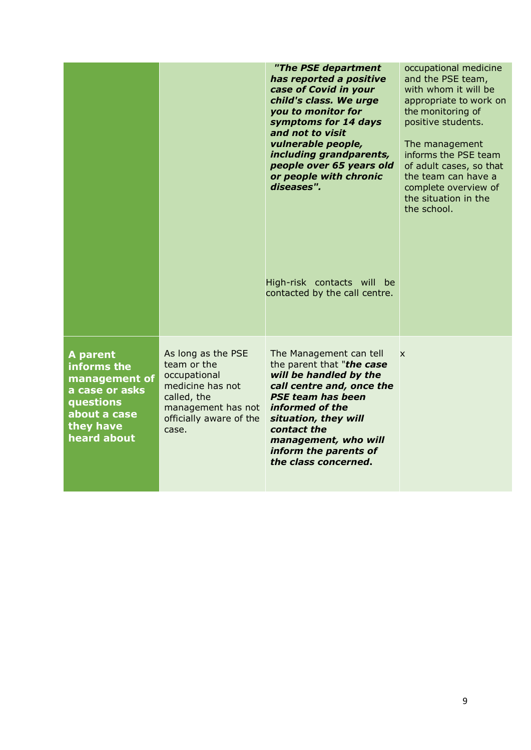|                                                                                                                     |                                                                                                                                                | "The PSE department<br>has reported a positive<br>case of Covid in your<br>child's class. We urge<br>you to monitor for<br>symptoms for 14 days<br>and not to visit<br>vulnerable people,<br>including grandparents,<br>people over 65 years old<br>or people with chronic<br>diseases". | occupational medicine<br>and the PSE team,<br>with whom it will be<br>appropriate to work on<br>the monitoring of<br>positive students.<br>The management<br>informs the PSE team<br>of adult cases, so that<br>the team can have a<br>complete overview of<br>the situation in the<br>the school. |
|---------------------------------------------------------------------------------------------------------------------|------------------------------------------------------------------------------------------------------------------------------------------------|------------------------------------------------------------------------------------------------------------------------------------------------------------------------------------------------------------------------------------------------------------------------------------------|----------------------------------------------------------------------------------------------------------------------------------------------------------------------------------------------------------------------------------------------------------------------------------------------------|
|                                                                                                                     |                                                                                                                                                | High-risk contacts will be<br>contacted by the call centre.                                                                                                                                                                                                                              |                                                                                                                                                                                                                                                                                                    |
| A parent<br>informs the<br>management of<br>a case or asks<br>questions<br>about a case<br>they have<br>heard about | As long as the PSE<br>team or the<br>occupational<br>medicine has not<br>called, the<br>management has not<br>officially aware of the<br>case. | The Management can tell<br>the parent that "the case<br>will be handled by the<br>call centre and, once the<br><b>PSE team has been</b><br>informed of the<br>situation, they will<br>contact the<br>management, who will<br>inform the parents of<br>the class concerned.               | X                                                                                                                                                                                                                                                                                                  |